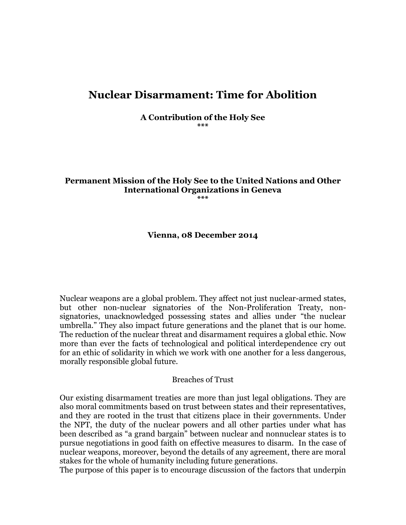# **Nuclear Disarmament: Time for Abolition**

**A Contribution of the Holy See \*\*\***

# **Permanent Mission of the Holy See to the United Nations and Other International Organizations in Geneva**

**\*\*\***

#### **Vienna, 08 December 2014**

Nuclear weapons are a global problem. They affect not just nuclear-armed states, but other non-nuclear signatories of the Non-Proliferation Treaty, nonsignatories, unacknowledged possessing states and allies under "the nuclear umbrella." They also impact future generations and the planet that is our home. The reduction of the nuclear threat and disarmament requires a global ethic. Now more than ever the facts of technological and political interdependence cry out for an ethic of solidarity in which we work with one another for a less dangerous, morally responsible global future.

#### Breaches of Trust

Our existing disarmament treaties are more than just legal obligations. They are also moral commitments based on trust between states and their representatives, and they are rooted in the trust that citizens place in their governments. Under the NPT, the duty of the nuclear powers and all other parties under what has been described as "a grand bargain" between nuclear and nonnuclear states is to pursue negotiations in good faith on effective measures to disarm. In the case of nuclear weapons, moreover, beyond the details of any agreement, there are moral stakes for the whole of humanity including future generations.

The purpose of this paper is to encourage discussion of the factors that underpin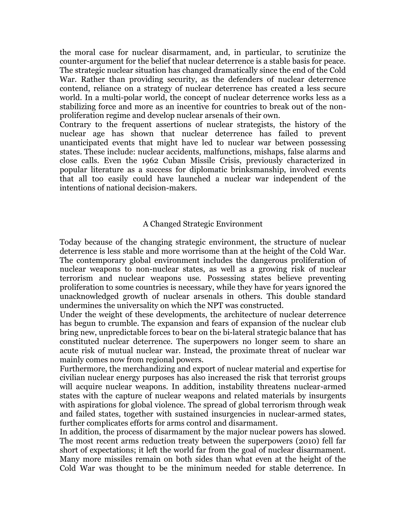the moral case for nuclear disarmament, and, in particular, to scrutinize the counter-argument for the belief that nuclear deterrence is a stable basis for peace. The strategic nuclear situation has changed dramatically since the end of the Cold War. Rather than providing security, as the defenders of nuclear deterrence contend, reliance on a strategy of nuclear deterrence has created a less secure world. In a multi-polar world, the concept of nuclear deterrence works less as a stabilizing force and more as an incentive for countries to break out of the nonproliferation regime and develop nuclear arsenals of their own.

Contrary to the frequent assertions of nuclear strategists, the history of the nuclear age has shown that nuclear deterrence has failed to prevent unanticipated events that might have led to nuclear war between possessing states. These include: nuclear accidents, malfunctions, mishaps, false alarms and close calls. Even the 1962 Cuban Missile Crisis, previously characterized in popular literature as a success for diplomatic brinksmanship, involved events that all too easily could have launched a nuclear war independent of the intentions of national decision-makers.

#### A Changed Strategic Environment

Today because of the changing strategic environment, the structure of nuclear deterrence is less stable and more worrisome than at the height of the Cold War. The contemporary global environment includes the dangerous proliferation of nuclear weapons to non-nuclear states, as well as a growing risk of nuclear terrorism and nuclear weapons use. Possessing states believe preventing proliferation to some countries is necessary, while they have for years ignored the unacknowledged growth of nuclear arsenals in others. This double standard undermines the universality on which the NPT was constructed.

Under the weight of these developments, the architecture of nuclear deterrence has begun to crumble. The expansion and fears of expansion of the nuclear club bring new, unpredictable forces to bear on the bi-lateral strategic balance that has constituted nuclear deterrence. The superpowers no longer seem to share an acute risk of mutual nuclear war. Instead, the proximate threat of nuclear war mainly comes now from regional powers.

Furthermore, the merchandizing and export of nuclear material and expertise for civilian nuclear energy purposes has also increased the risk that terrorist groups will acquire nuclear weapons. In addition, instability threatens nuclear-armed states with the capture of nuclear weapons and related materials by insurgents with aspirations for global violence. The spread of global terrorism through weak and failed states, together with sustained insurgencies in nuclear-armed states, further complicates efforts for arms control and disarmament.

In addition, the process of disarmament by the major nuclear powers has slowed. The most recent arms reduction treaty between the superpowers (2010) fell far short of expectations; it left the world far from the goal of nuclear disarmament. Many more missiles remain on both sides than what even at the height of the Cold War was thought to be the minimum needed for stable deterrence. In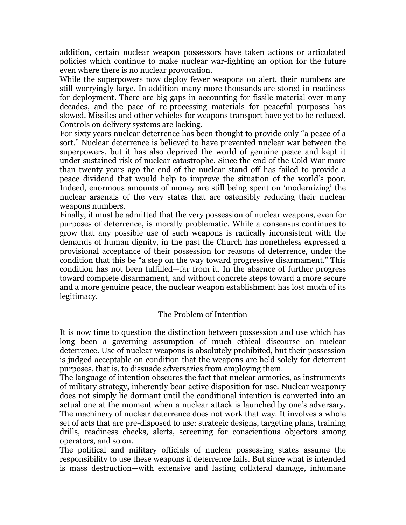addition, certain nuclear weapon possessors have taken actions or articulated policies which continue to make nuclear war-fighting an option for the future even where there is no nuclear provocation.

While the superpowers now deploy fewer weapons on alert, their numbers are still worryingly large. In addition many more thousands are stored in readiness for deployment. There are big gaps in accounting for fissile material over many decades, and the pace of re-processing materials for peaceful purposes has slowed. Missiles and other vehicles for weapons transport have yet to be reduced. Controls on delivery systems are lacking.

For sixty years nuclear deterrence has been thought to provide only "a peace of a sort." Nuclear deterrence is believed to have prevented nuclear war between the superpowers, but it has also deprived the world of genuine peace and kept it under sustained risk of nuclear catastrophe. Since the end of the Cold War more than twenty years ago the end of the nuclear stand-off has failed to provide a peace dividend that would help to improve the situation of the world's poor. Indeed, enormous amounts of money are still being spent on 'modernizing' the nuclear arsenals of the very states that are ostensibly reducing their nuclear weapons numbers.

Finally, it must be admitted that the very possession of nuclear weapons, even for purposes of deterrence, is morally problematic. While a consensus continues to grow that any possible use of such weapons is radically inconsistent with the demands of human dignity, in the past the Church has nonetheless expressed a provisional acceptance of their possession for reasons of deterrence, under the condition that this be "a step on the way toward progressive disarmament." This condition has not been fulfilled—far from it. In the absence of further progress toward complete disarmament, and without concrete steps toward a more secure and a more genuine peace, the nuclear weapon establishment has lost much of its legitimacy.

## The Problem of Intention

It is now time to question the distinction between possession and use which has long been a governing assumption of much ethical discourse on nuclear deterrence. Use of nuclear weapons is absolutely prohibited, but their possession is judged acceptable on condition that the weapons are held solely for deterrent purposes, that is, to dissuade adversaries from employing them.

The language of intention obscures the fact that nuclear armories, as instruments of military strategy, inherently bear active disposition for use. Nuclear weaponry does not simply lie dormant until the conditional intention is converted into an actual one at the moment when a nuclear attack is launched by one's adversary. The machinery of nuclear deterrence does not work that way. It involves a whole set of acts that are pre-disposed to use: strategic designs, targeting plans, training drills, readiness checks, alerts, screening for conscientious objectors among operators, and so on.

The political and military officials of nuclear possessing states assume the responsibility to use these weapons if deterrence fails. But since what is intended is mass destruction—with extensive and lasting collateral damage, inhumane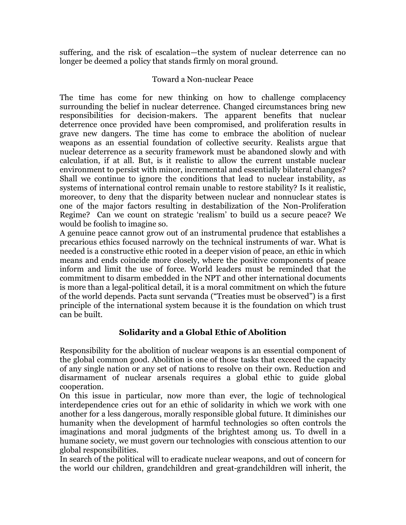suffering, and the risk of escalation—the system of nuclear deterrence can no longer be deemed a policy that stands firmly on moral ground.

## Toward a Non-nuclear Peace

The time has come for new thinking on how to challenge complacency surrounding the belief in nuclear deterrence. Changed circumstances bring new responsibilities for decision-makers. The apparent benefits that nuclear deterrence once provided have been compromised, and proliferation results in grave new dangers. The time has come to embrace the abolition of nuclear weapons as an essential foundation of collective security. Realists argue that nuclear deterrence as a security framework must be abandoned slowly and with calculation, if at all. But, is it realistic to allow the current unstable nuclear environment to persist with minor, incremental and essentially bilateral changes? Shall we continue to ignore the conditions that lead to nuclear instability, as systems of international control remain unable to restore stability? Is it realistic, moreover, to deny that the disparity between nuclear and nonnuclear states is one of the major factors resulting in destabilization of the Non-Proliferation Regime? Can we count on strategic 'realism' to build us a secure peace? We would be foolish to imagine so.

A genuine peace cannot grow out of an instrumental prudence that establishes a precarious ethics focused narrowly on the technical instruments of war. What is needed is a constructive ethic rooted in a deeper vision of peace, an ethic in which means and ends coincide more closely, where the positive components of peace inform and limit the use of force. World leaders must be reminded that the commitment to disarm embedded in the NPT and other international documents is more than a legal-political detail, it is a moral commitment on which the future of the world depends. Pacta sunt servanda ("Treaties must be observed") is a first principle of the international system because it is the foundation on which trust can be built.

# **Solidarity and a Global Ethic of Abolition**

Responsibility for the abolition of nuclear weapons is an essential component of the global common good. Abolition is one of those tasks that exceed the capacity of any single nation or any set of nations to resolve on their own. Reduction and disarmament of nuclear arsenals requires a global ethic to guide global cooperation.

On this issue in particular, now more than ever, the logic of technological interdependence cries out for an ethic of solidarity in which we work with one another for a less dangerous, morally responsible global future. It diminishes our humanity when the development of harmful technologies so often controls the imaginations and moral judgments of the brightest among us. To dwell in a humane society, we must govern our technologies with conscious attention to our global responsibilities.

In search of the political will to eradicate nuclear weapons, and out of concern for the world our children, grandchildren and great-grandchildren will inherit, the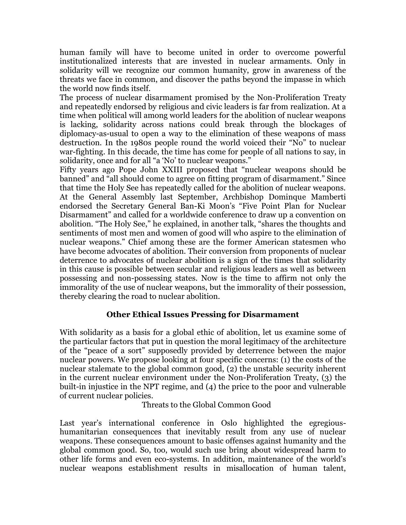human family will have to become united in order to overcome powerful institutionalized interests that are invested in nuclear armaments. Only in solidarity will we recognize our common humanity, grow in awareness of the threats we face in common, and discover the paths beyond the impasse in which the world now finds itself.

The process of nuclear disarmament promised by the Non-Proliferation Treaty and repeatedly endorsed by religious and civic leaders is far from realization. At a time when political will among world leaders for the abolition of nuclear weapons is lacking, solidarity across nations could break through the blockages of diplomacy-as-usual to open a way to the elimination of these weapons of mass destruction. In the 1980s people round the world voiced their "No" to nuclear war-fighting. In this decade, the time has come for people of all nations to say, in solidarity, once and for all "a 'No' to nuclear weapons."

Fifty years ago Pope John XXIII proposed that "nuclear weapons should be banned" and "all should come to agree on fitting program of disarmament." Since that time the Holy See has repeatedly called for the abolition of nuclear weapons. At the General Assembly last September, Archbishop Dominque Mamberti endorsed the Secretary General Ban-Ki Moon's "Five Point Plan for Nuclear Disarmament" and called for a worldwide conference to draw up a convention on abolition. "The Holy See," he explained, in another talk, "shares the thoughts and sentiments of most men and women of good will who aspire to the elimination of nuclear weapons." Chief among these are the former American statesmen who have become advocates of abolition. Their conversion from proponents of nuclear deterrence to advocates of nuclear abolition is a sign of the times that solidarity in this cause is possible between secular and religious leaders as well as between possessing and non-possessing states. Now is the time to affirm not only the immorality of the use of nuclear weapons, but the immorality of their possession, thereby clearing the road to nuclear abolition.

# **Other Ethical Issues Pressing for Disarmament**

With solidarity as a basis for a global ethic of abolition, let us examine some of the particular factors that put in question the moral legitimacy of the architecture of the "peace of a sort" supposedly provided by deterrence between the major nuclear powers. We propose looking at four specific concerns: (1) the costs of the nuclear stalemate to the global common good, (2) the unstable security inherent in the current nuclear environment under the Non-Proliferation Treaty, (3) the built-in injustice in the NPT regime, and (4) the price to the poor and vulnerable of current nuclear policies.

Threats to the Global Common Good

Last year's international conference in Oslo highlighted the egregioushumanitarian consequences that inevitably result from any use of nuclear weapons. These consequences amount to basic offenses against humanity and the global common good. So, too, would such use bring about widespread harm to other life forms and even eco-systems. In addition, maintenance of the world's nuclear weapons establishment results in misallocation of human talent,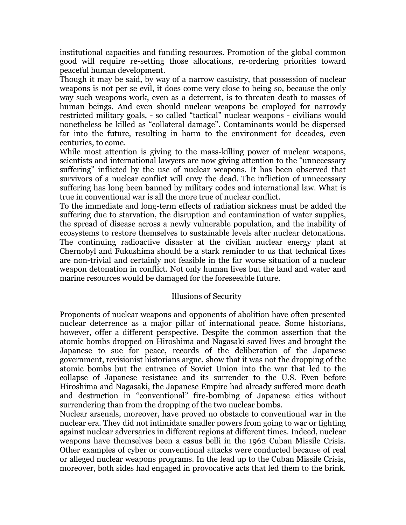institutional capacities and funding resources. Promotion of the global common good will require re-setting those allocations, re-ordering priorities toward peaceful human development.

Though it may be said, by way of a narrow casuistry, that possession of nuclear weapons is not per se evil, it does come very close to being so, because the only way such weapons work, even as a deterrent, is to threaten death to masses of human beings. And even should nuclear weapons be employed for narrowly restricted military goals, - so called "tactical" nuclear weapons - civilians would nonetheless be killed as "collateral damage". Contaminants would be dispersed far into the future, resulting in harm to the environment for decades, even centuries, to come.

While most attention is giving to the mass-killing power of nuclear weapons, scientists and international lawyers are now giving attention to the "unnecessary suffering" inflicted by the use of nuclear weapons. It has been observed that survivors of a nuclear conflict will envy the dead. The infliction of unnecessary suffering has long been banned by military codes and international law. What is true in conventional war is all the more true of nuclear conflict.

To the immediate and long-term effects of radiation sickness must be added the suffering due to starvation, the disruption and contamination of water supplies, the spread of disease across a newly vulnerable population, and the inability of ecosystems to restore themselves to sustainable levels after nuclear detonations. The continuing radioactive disaster at the civilian nuclear energy plant at Chernobyl and Fukushima should be a stark reminder to us that technical fixes are non-trivial and certainly not feasible in the far worse situation of a nuclear weapon detonation in conflict. Not only human lives but the land and water and marine resources would be damaged for the foreseeable future.

## Illusions of Security

Proponents of nuclear weapons and opponents of abolition have often presented nuclear deterrence as a major pillar of international peace. Some historians, however, offer a different perspective. Despite the common assertion that the atomic bombs dropped on Hiroshima and Nagasaki saved lives and brought the Japanese to sue for peace, records of the deliberation of the Japanese government, revisionist historians argue, show that it was not the dropping of the atomic bombs but the entrance of Soviet Union into the war that led to the collapse of Japanese resistance and its surrender to the U.S. Even before Hiroshima and Nagasaki, the Japanese Empire had already suffered more death and destruction in "conventional" fire-bombing of Japanese cities without surrendering than from the dropping of the two nuclear bombs.

Nuclear arsenals, moreover, have proved no obstacle to conventional war in the nuclear era. They did not intimidate smaller powers from going to war or fighting against nuclear adversaries in different regions at different times. Indeed, nuclear weapons have themselves been a casus belli in the 1962 Cuban Missile Crisis. Other examples of cyber or conventional attacks were conducted because of real or alleged nuclear weapons programs. In the lead up to the Cuban Missile Crisis, moreover, both sides had engaged in provocative acts that led them to the brink.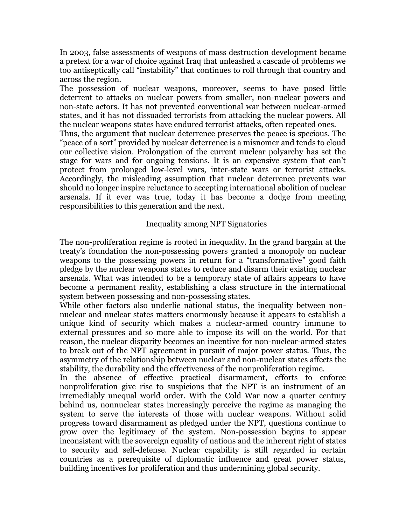In 2003, false assessments of weapons of mass destruction development became a pretext for a war of choice against Iraq that unleashed a cascade of problems we too antiseptically call "instability" that continues to roll through that country and across the region.

The possession of nuclear weapons, moreover, seems to have posed little deterrent to attacks on nuclear powers from smaller, non-nuclear powers and non-state actors. It has not prevented conventional war between nuclear-armed states, and it has not dissuaded terrorists from attacking the nuclear powers. All the nuclear weapons states have endured terrorist attacks, often repeated ones.

Thus, the argument that nuclear deterrence preserves the peace is specious. The "peace of a sort" provided by nuclear deterrence is a misnomer and tends to cloud our collective vision. Prolongation of the current nuclear polyarchy has set the stage for wars and for ongoing tensions. It is an expensive system that can't protect from prolonged low-level wars, inter-state wars or terrorist attacks. Accordingly, the misleading assumption that nuclear deterrence prevents war should no longer inspire reluctance to accepting international abolition of nuclear arsenals. If it ever was true, today it has become a dodge from meeting responsibilities to this generation and the next.

### Inequality among NPT Signatories

The non-proliferation regime is rooted in inequality. In the grand bargain at the treaty's foundation the non-possessing powers granted a monopoly on nuclear weapons to the possessing powers in return for a "transformative" good faith pledge by the nuclear weapons states to reduce and disarm their existing nuclear arsenals. What was intended to be a temporary state of affairs appears to have become a permanent reality, establishing a class structure in the international system between possessing and non-possessing states.

While other factors also underlie national status, the inequality between nonnuclear and nuclear states matters enormously because it appears to establish a unique kind of security which makes a nuclear-armed country immune to external pressures and so more able to impose its will on the world. For that reason, the nuclear disparity becomes an incentive for non-nuclear-armed states to break out of the NPT agreement in pursuit of major power status. Thus, the asymmetry of the relationship between nuclear and non-nuclear states affects the stability, the durability and the effectiveness of the nonproliferation regime.

In the absence of effective practical disarmament, efforts to enforce nonproliferation give rise to suspicions that the NPT is an instrument of an irremediably unequal world order. With the Cold War now a quarter century behind us, nonnuclear states increasingly perceive the regime as managing the system to serve the interests of those with nuclear weapons. Without solid progress toward disarmament as pledged under the NPT, questions continue to grow over the legitimacy of the system. Non-possession begins to appear inconsistent with the sovereign equality of nations and the inherent right of states to security and self-defense. Nuclear capability is still regarded in certain countries as a prerequisite of diplomatic influence and great power status, building incentives for proliferation and thus undermining global security.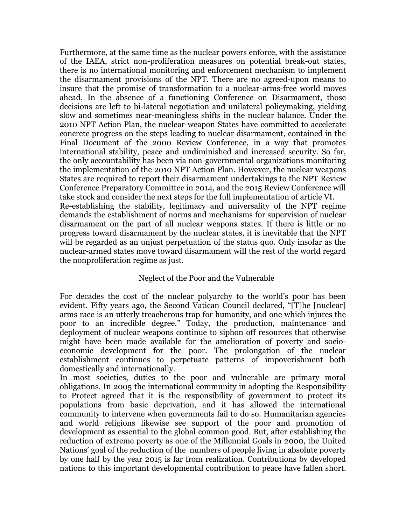Furthermore, at the same time as the nuclear powers enforce, with the assistance of the IAEA, strict non-proliferation measures on potential break-out states, there is no international monitoring and enforcement mechanism to implement the disarmament provisions of the NPT. There are no agreed-upon means to insure that the promise of transformation to a nuclear-arms-free world moves ahead. In the absence of a functioning Conference on Disarmament, those decisions are left to bi-lateral negotiation and unilateral policymaking, yielding slow and sometimes near-meaningless shifts in the nuclear balance. Under the 2010 NPT Action Plan, the nuclear-weapon States have committed to accelerate concrete progress on the steps leading to nuclear disarmament, contained in the Final Document of the 2000 Review Conference, in a way that promotes international stability, peace and undiminished and increased security. So far, the only accountability has been via non-governmental organizations monitoring the implementation of the 2010 NPT Action Plan. However, the nuclear weapons States are required to report their disarmament undertakings to the NPT Review Conference Preparatory Committee in 2014, and the 2015 Review Conference will take stock and consider the next steps for the full implementation of article VI. Re-establishing the stability, legitimacy and universality of the NPT regime demands the establishment of norms and mechanisms for supervision of nuclear disarmament on the part of all nuclear weapons states. If there is little or no progress toward disarmament by the nuclear states, it is inevitable that the NPT will be regarded as an unjust perpetuation of the status quo. Only insofar as the nuclear-armed states move toward disarmament will the rest of the world regard the nonproliferation regime as just.

## Neglect of the Poor and the Vulnerable

For decades the cost of the nuclear polyarchy to the world's poor has been evident. Fifty years ago, the Second Vatican Council declared, "[T]he [nuclear] arms race is an utterly treacherous trap for humanity, and one which injures the poor to an incredible degree." Today, the production, maintenance and deployment of nuclear weapons continue to siphon off resources that otherwise might have been made available for the amelioration of poverty and socioeconomic development for the poor. The prolongation of the nuclear establishment continues to perpetuate patterns of impoverishment both domestically and internationally.

In most societies, duties to the poor and vulnerable are primary moral obligations. In 2005 the international community in adopting the Responsibility to Protect agreed that it is the responsibility of government to protect its populations from basic deprivation, and it has allowed the international community to intervene when governments fail to do so. Humanitarian agencies and world religions likewise see support of the poor and promotion of development as essential to the global common good. But, after establishing the reduction of extreme poverty as one of the Millennial Goals in 2000, the United Nations' goal of the reduction of the numbers of people living in absolute poverty by one half by the year 2015 is far from realization. Contributions by developed nations to this important developmental contribution to peace have fallen short.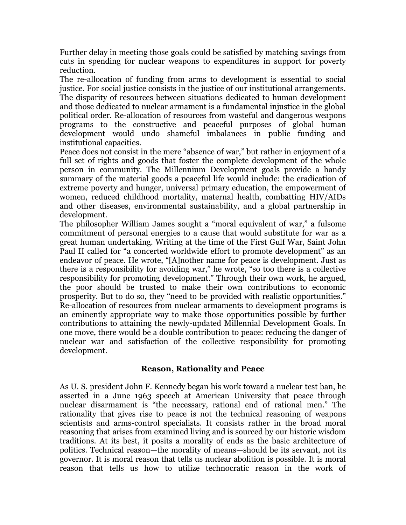Further delay in meeting those goals could be satisfied by matching savings from cuts in spending for nuclear weapons to expenditures in support for poverty reduction.

The re-allocation of funding from arms to development is essential to social justice. For social justice consists in the justice of our institutional arrangements. The disparity of resources between situations dedicated to human development and those dedicated to nuclear armament is a fundamental injustice in the global political order. Re-allocation of resources from wasteful and dangerous weapons programs to the constructive and peaceful purposes of global human development would undo shameful imbalances in public funding and institutional capacities.

Peace does not consist in the mere "absence of war," but rather in enjoyment of a full set of rights and goods that foster the complete development of the whole person in community. The Millennium Development goals provide a handy summary of the material goods a peaceful life would include: the eradication of extreme poverty and hunger, universal primary education, the empowerment of women, reduced childhood mortality, maternal health, combatting HIV/AIDs and other diseases, environmental sustainability, and a global partnership in development.

The philosopher William James sought a "moral equivalent of war," a fulsome commitment of personal energies to a cause that would substitute for war as a great human undertaking. Writing at the time of the First Gulf War, Saint John Paul II called for "a concerted worldwide effort to promote development" as an endeavor of peace. He wrote, "[A]nother name for peace is development. Just as there is a responsibility for avoiding war," he wrote, "so too there is a collective responsibility for promoting development." Through their own work, he argued, the poor should be trusted to make their own contributions to economic prosperity. But to do so, they "need to be provided with realistic opportunities." Re-allocation of resources from nuclear armaments to development programs is an eminently appropriate way to make those opportunities possible by further contributions to attaining the newly-updated Millennial Development Goals. In one move, there would be a double contribution to peace: reducing the danger of nuclear war and satisfaction of the collective responsibility for promoting development.

# **Reason, Rationality and Peace**

As U. S. president John F. Kennedy began his work toward a nuclear test ban, he asserted in a June 1963 speech at American University that peace through nuclear disarmament is "the necessary, rational end of rational men." The rationality that gives rise to peace is not the technical reasoning of weapons scientists and arms-control specialists. It consists rather in the broad moral reasoning that arises from examined living and is sourced by our historic wisdom traditions. At its best, it posits a morality of ends as the basic architecture of politics. Technical reason—the morality of means—should be its servant, not its governor. It is moral reason that tells us nuclear abolition is possible. It is moral reason that tells us how to utilize technocratic reason in the work of